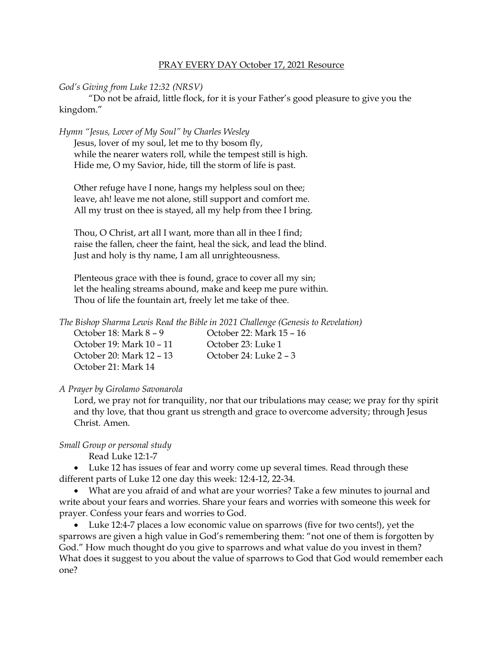# PRAY EVERY DAY October 17, 2021 Resource

#### *God's Giving from Luke 12:32 (NRSV)*

"Do not be afraid, little flock, for it is your Father's good pleasure to give you the kingdom."

*Hymn "Jesus, Lover of My Soul" by Charles Wesley*

Jesus, lover of my soul, let me to thy bosom fly, while the nearer waters roll, while the tempest still is high. Hide me, O my Savior, hide, till the storm of life is past.

Other refuge have I none, hangs my helpless soul on thee; leave, ah! leave me not alone, still support and comfort me. All my trust on thee is stayed, all my help from thee I bring.

Thou, O Christ, art all I want, more than all in thee I find; raise the fallen, cheer the faint, heal the sick, and lead the blind. Just and holy is thy name, I am all unrighteousness.

Plenteous grace with thee is found, grace to cover all my sin; let the healing streams abound, make and keep me pure within. Thou of life the fountain art, freely let me take of thee.

*The Bishop Sharma Lewis Read the Bible in 2021 Challenge (Genesis to Revelation)*

| October 18: Mark $8 - 9$ | October 22: Mark 15 – 16 |
|--------------------------|--------------------------|
| October 19: Mark 10 – 11 | October 23: Luke 1       |
| October 20: Mark 12 – 13 | October 24: Luke $2 - 3$ |
| October 21: Mark 14      |                          |

# *A Prayer by Girolamo Savonarola*

Lord, we pray not for tranquility, nor that our tribulations may cease; we pray for thy spirit and thy love, that thou grant us strength and grace to overcome adversity; through Jesus Christ. Amen.

### *Small Group or personal study*

Read Luke 12:1-7

• Luke 12 has issues of fear and worry come up several times. Read through these different parts of Luke 12 one day this week: 12:4-12, 22-34.

• What are you afraid of and what are your worries? Take a few minutes to journal and write about your fears and worries. Share your fears and worries with someone this week for prayer. Confess your fears and worries to God.

• Luke 12:4-7 places a low economic value on sparrows (five for two cents!), yet the sparrows are given a high value in God's remembering them: "not one of them is forgotten by God." How much thought do you give to sparrows and what value do you invest in them? What does it suggest to you about the value of sparrows to God that God would remember each one?